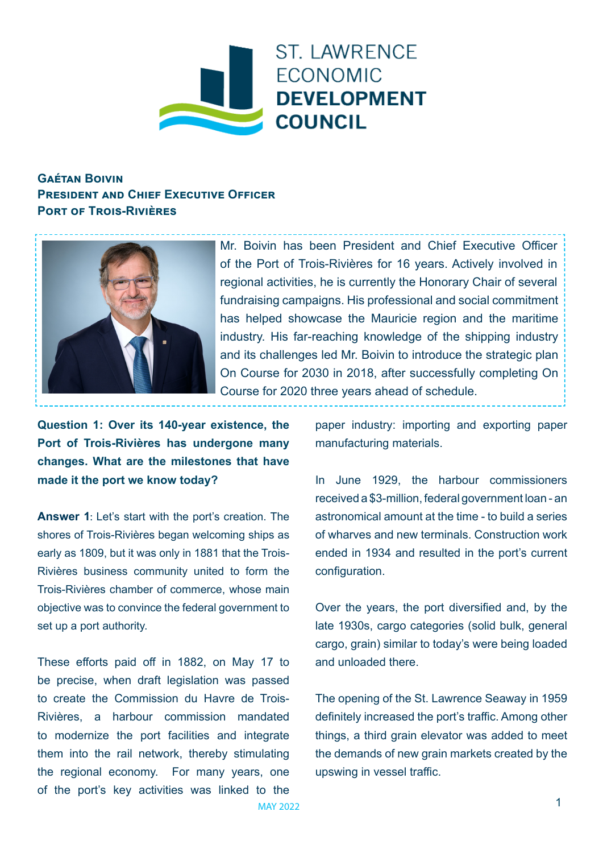

## **Gaétan Boivin PRESIDENT AND CHIEF EXECUTIVE OFFICER Port of Trois-Rivières**



Mr. Boivin has been President and Chief Executive Officer of the Port of Trois-Rivières for 16 years. Actively involved in regional activities, he is currently the Honorary Chair of several fundraising campaigns. His professional and social commitment has helped showcase the Mauricie region and the maritime industry. His far-reaching knowledge of the shipping industry and its challenges led Mr. Boivin to introduce the strategic plan On Course for 2030 in 2018, after successfully completing On Course for 2020 three years ahead of schedule.

**Question 1: Over its 140-year existence, the Port of Trois-Rivières has undergone many changes. What are the milestones that have made it the port we know today?** 

**Answer 1**: Let's start with the port's creation. The shores of Trois-Rivières began welcoming ships as early as 1809, but it was only in 1881 that the Trois-Rivières business community united to form the Trois-Rivières chamber of commerce, whose main objective was to convince the federal government to set up a port authority.

These efforts paid off in 1882, on May 17 to be precise, when draft legislation was passed to create the Commission du Havre de Trois-Rivières, a harbour commission mandated to modernize the port facilities and integrate them into the rail network, thereby stimulating the regional economy. For many years, one of the port's key activities was linked to the paper industry: importing and exporting paper manufacturing materials.

In June 1929, the harbour commissioners received a \$3-million, federal government loan - an astronomical amount at the time - to build a series of wharves and new terminals. Construction work ended in 1934 and resulted in the port's current configuration.

Over the years, the port diversified and, by the late 1930s, cargo categories (solid bulk, general cargo, grain) similar to today's were being loaded and unloaded there.

The opening of the St. Lawrence Seaway in 1959 definitely increased the port's traffic. Among other things, a third grain elevator was added to meet the demands of new grain markets created by the upswing in vessel traffic.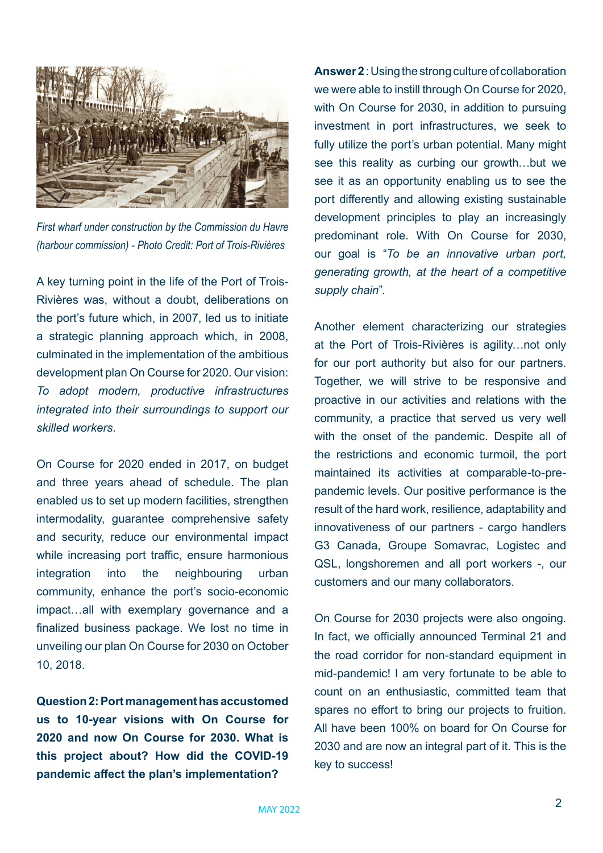

*First wharf under construction by the Commission du Havre (harbour commission) - Photo Credit: Port of Trois-Rivières*

A key turning point in the life of the Port of Trois-Rivières was, without a doubt, deliberations on the port's future which, in 2007, led us to initiate a strategic planning approach which, in 2008, culminated in the implementation of the ambitious development plan On Course for 2020. Our vision: *To adopt modern, productive infrastructures integrated into their surroundings to support our skilled workers*.

On Course for 2020 ended in 2017, on budget and three years ahead of schedule. The plan enabled us to set up modern facilities, strengthen intermodality, guarantee comprehensive safety and security, reduce our environmental impact while increasing port traffic, ensure harmonious integration into the neighbouring urban community, enhance the port's socio-economic impact…all with exemplary governance and a finalized business package. We lost no time in unveiling our plan On Course for 2030 on October 10, 2018.

**Question 2: Port management has accustomed us to 10-year visions with On Course for 2020 and now On Course for 2030. What is this project about? How did the COVID-19 pandemic affect the plan's implementation?** 

**Answer 2** : Using the strong culture of collaboration we were able to instill through On Course for 2020, with On Course for 2030, in addition to pursuing investment in port infrastructures, we seek to fully utilize the port's urban potential. Many might see this reality as curbing our growth…but we see it as an opportunity enabling us to see the port differently and allowing existing sustainable development principles to play an increasingly predominant role. With On Course for 2030, our goal is "*To be an innovative urban port, generating growth, at the heart of a competitive supply chain*".

Another element characterizing our strategies at the Port of Trois-Rivières is agility…not only for our port authority but also for our partners. Together, we will strive to be responsive and proactive in our activities and relations with the community, a practice that served us very well with the onset of the pandemic. Despite all of the restrictions and economic turmoil, the port maintained its activities at comparable-to-prepandemic levels. Our positive performance is the result of the hard work, resilience, adaptability and innovativeness of our partners - cargo handlers G3 Canada, Groupe Somavrac, Logistec and QSL, longshoremen and all port workers -, our customers and our many collaborators.

On Course for 2030 projects were also ongoing. In fact, we officially announced Terminal 21 and the road corridor for non-standard equipment in mid-pandemic! I am very fortunate to be able to count on an enthusiastic, committed team that spares no effort to bring our projects to fruition. All have been 100% on board for On Course for 2030 and are now an integral part of it. This is the key to success!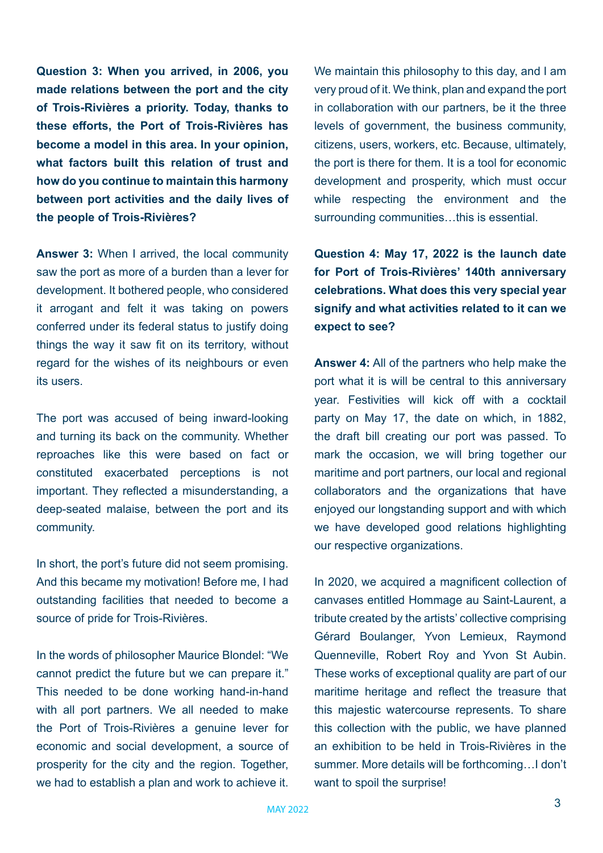**Question 3: When you arrived, in 2006, you made relations between the port and the city of Trois-Rivières a priority. Today, thanks to these efforts, the Port of Trois-Rivières has become a model in this area. In your opinion, what factors built this relation of trust and how do you continue to maintain this harmony between port activities and the daily lives of the people of Trois-Rivières?** 

**Answer 3:** When I arrived, the local community saw the port as more of a burden than a lever for development. It bothered people, who considered it arrogant and felt it was taking on powers conferred under its federal status to justify doing things the way it saw fit on its territory, without regard for the wishes of its neighbours or even its users.

The port was accused of being inward-looking and turning its back on the community. Whether reproaches like this were based on fact or constituted exacerbated perceptions is not important. They reflected a misunderstanding, a deep-seated malaise, between the port and its community.

In short, the port's future did not seem promising. And this became my motivation! Before me, I had outstanding facilities that needed to become a source of pride for Trois-Rivières.

In the words of philosopher Maurice Blondel: "We cannot predict the future but we can prepare it." This needed to be done working hand-in-hand with all port partners. We all needed to make the Port of Trois-Rivières a genuine lever for economic and social development, a source of prosperity for the city and the region. Together, we had to establish a plan and work to achieve it.

We maintain this philosophy to this day, and I am very proud of it. We think, plan and expand the port in collaboration with our partners, be it the three levels of government, the business community, citizens, users, workers, etc. Because, ultimately, the port is there for them. It is a tool for economic development and prosperity, which must occur while respecting the environment and the surrounding communities…this is essential.

**Question 4: May 17, 2022 is the launch date for Port of Trois-Rivières' 140th anniversary celebrations. What does this very special year signify and what activities related to it can we expect to see?** 

**Answer 4:** All of the partners who help make the port what it is will be central to this anniversary year. Festivities will kick off with a cocktail party on May 17, the date on which, in 1882, the draft bill creating our port was passed. To mark the occasion, we will bring together our maritime and port partners, our local and regional collaborators and the organizations that have enjoyed our longstanding support and with which we have developed good relations highlighting our respective organizations.

In 2020, we acquired a magnificent collection of canvases entitled Hommage au Saint-Laurent, a tribute created by the artists' collective comprising Gérard Boulanger, Yvon Lemieux, Raymond Quenneville, Robert Roy and Yvon St Aubin. These works of exceptional quality are part of our maritime heritage and reflect the treasure that this majestic watercourse represents. To share this collection with the public, we have planned an exhibition to be held in Trois-Rivières in the summer. More details will be forthcoming…I don't want to spoil the surprise!